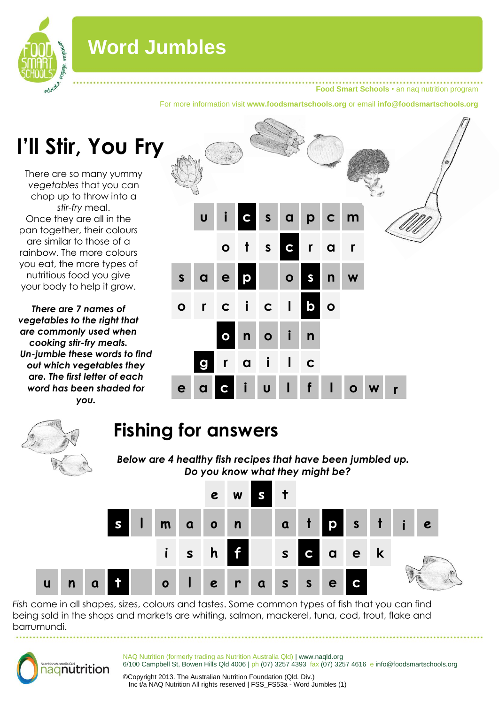

## **Word Jumbles**

**Food Smart Schools** • an naq nutrition program

For more information visit **www.foodsmartschools.org** or email **info@foodsmartschools.org**

# **I'll Stir, You Fry**

There are so many yummy *vegetables* that you can chop up to throw into a *stir-fry* meal. Once they are all in the pan together, their colours are similar to those of a rainbow. The more colours you eat, the more types of nutritious food you give your body to help it grow.

*There are 7 names of vegetables to the right that are commonly used when cooking stir-fry meals. Un-jumble these words to find out which vegetables they are. The first letter of each word has been shaded for you.*





### **Fishing for answers**

*Below are 4 healthy fish recipes that have been jumbled up. Do you know what they might be?* 



*Fish* come in all shapes, sizes, colours and tastes. Some common types of fish that you can find being sold in the shops and markets are whiting, salmon, mackerel, tuna, cod, trout, flake and barrumundi.



NAQ Nutrition (formerly trading as Nutrition Australia Qld) | www.naqld.org 6/100 Campbell St, Bowen Hills Qld 4006 | ph (07) 3257 4393 fax (07) 3257 4616 e info@foodsmartschools.org